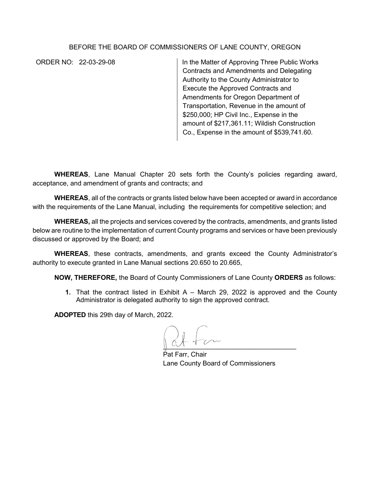## BEFORE THE BOARD OF COMMISSIONERS OF LANE COUNTY, OREGON

ORDER NO: 22-03-29-08 In the Matter of Approving Three Public Works Contracts and Amendments and Delegating Authority to the County Administrator to Execute the Approved Contracts and Amendments for Oregon Department of Transportation, Revenue in the amount of \$250,000; HP Civil Inc., Expense in the amount of \$217,361.11; Wildish Construction Co., Expense in the amount of \$539,741.60.

**WHEREAS**, Lane Manual Chapter 20 sets forth the County's policies regarding award, acceptance, and amendment of grants and contracts; and

**WHEREAS**, all of the contracts or grants listed below have been accepted or award in accordance with the requirements of the Lane Manual, including the requirements for competitive selection; and

**WHEREAS,** all the projects and services covered by the contracts, amendments, and grants listed below are routine to the implementation of current County programs and services or have been previously discussed or approved by the Board; and

**WHEREAS**, these contracts, amendments, and grants exceed the County Administrator's authority to execute granted in Lane Manual sections 20.650 to 20.665,

**NOW, THEREFORE,** the Board of County Commissioners of Lane County **ORDERS** as follows:

**1.** That the contract listed in Exhibit A – March 29, 2022 is approved and the County Administrator is delegated authority to sign the approved contract.

**ADOPTED** this 29th day of March, 2022.

 $\mathbb{R}$ 

Pat Farr, Chair Lane County Board of Commissioners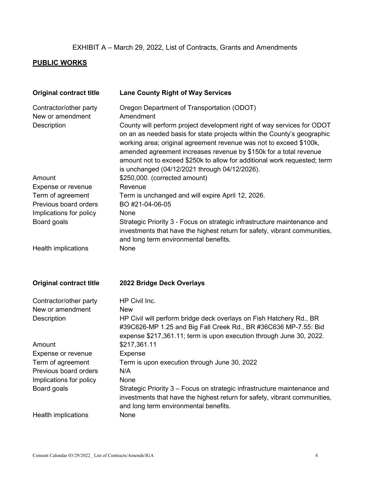## EXHIBIT A – March 29, 2022, List of Contracts, Grants and Amendments

## **PUBLIC WORKS**

| <b>Original contract title</b>                                   | <b>Lane County Right of Way Services</b>                                                                                                                                                                                                                                                                                                                                                                                                                                             |
|------------------------------------------------------------------|--------------------------------------------------------------------------------------------------------------------------------------------------------------------------------------------------------------------------------------------------------------------------------------------------------------------------------------------------------------------------------------------------------------------------------------------------------------------------------------|
| Contractor/other party<br>New or amendment<br><b>Description</b> | Oregon Department of Transportation (ODOT)<br>Amendment<br>County will perform project development right of way services for ODOT<br>on an as needed basis for state projects within the County's geographic<br>working area; original agreement revenue was not to exceed \$100k,<br>amended agreement increases revenue by \$150k for a total revenue<br>amount not to exceed \$250k to allow for additional work requested; term<br>is unchanged (04/12/2021 through 04/12/2026). |
| Amount                                                           | \$250,000. (corrected amount)                                                                                                                                                                                                                                                                                                                                                                                                                                                        |
| Expense or revenue                                               | Revenue                                                                                                                                                                                                                                                                                                                                                                                                                                                                              |
| Term of agreement                                                | Term is unchanged and will expire April 12, 2026.                                                                                                                                                                                                                                                                                                                                                                                                                                    |
| Previous board orders<br>Implications for policy                 | BO #21-04-06-05<br>None                                                                                                                                                                                                                                                                                                                                                                                                                                                              |
| Board goals                                                      | Strategic Priority 3 - Focus on strategic infrastructure maintenance and<br>investments that have the highest return for safety, vibrant communities,<br>and long term environmental benefits.                                                                                                                                                                                                                                                                                       |
| Health implications                                              | None                                                                                                                                                                                                                                                                                                                                                                                                                                                                                 |
| <b>Original contract title</b>                                   | 2022 Bridge Deck Overlays                                                                                                                                                                                                                                                                                                                                                                                                                                                            |
| Contractor/other party                                           | HP Civil Inc.                                                                                                                                                                                                                                                                                                                                                                                                                                                                        |
| New or amendment                                                 | <b>New</b>                                                                                                                                                                                                                                                                                                                                                                                                                                                                           |
| <b>Description</b>                                               | HP Civil will perform bridge deck overlays on Fish Hatchery Rd., BR<br>#39C626-MP 1.25 and Big Fall Creek Rd., BR #36C636 MP-7.55: Bid<br>expense \$217,361.11; term is upon execution through June 30, 2022.                                                                                                                                                                                                                                                                        |
| Amount                                                           | \$217,361.11                                                                                                                                                                                                                                                                                                                                                                                                                                                                         |
| Expense or revenue                                               | <b>Expense</b>                                                                                                                                                                                                                                                                                                                                                                                                                                                                       |
| Term of agreement<br>Previous board orders                       | Term is upon execution through June 30, 2022<br>N/A                                                                                                                                                                                                                                                                                                                                                                                                                                  |
| Implications for policy                                          | None                                                                                                                                                                                                                                                                                                                                                                                                                                                                                 |
| Board goals                                                      | Strategic Priority 3 – Focus on strategic infrastructure maintenance and<br>investments that have the highest return for safety, vibrant communities,<br>and long term environmental benefits.                                                                                                                                                                                                                                                                                       |
| Health implications                                              | None                                                                                                                                                                                                                                                                                                                                                                                                                                                                                 |